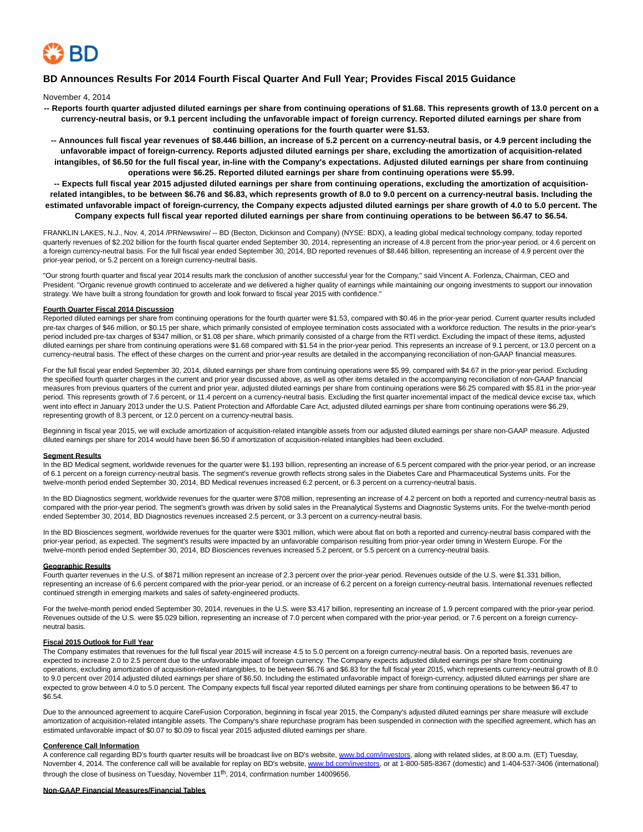

## **BD Announces Results For 2014 Fourth Fiscal Quarter And Full Year; Provides Fiscal 2015 Guidance**

November 4, 2014

- **-- Reports fourth quarter adjusted diluted earnings per share from continuing operations of \$1.68. This represents growth of 13.0 percent on a currency-neutral basis, or 9.1 percent including the unfavorable impact of foreign currency. Reported diluted earnings per share from continuing operations for the fourth quarter were \$1.53.**
- **-- Announces full fiscal year revenues of \$8.446 billion, an increase of 5.2 percent on a currency-neutral basis, or 4.9 percent including the unfavorable impact of foreign-currency. Reports adjusted diluted earnings per share, excluding the amortization of acquisition-related intangibles, of \$6.50 for the full fiscal year, in-line with the Company's expectations. Adjusted diluted earnings per share from continuing operations were \$6.25. Reported diluted earnings per share from continuing operations were \$5.99.**

**-- Expects full fiscal year 2015 adjusted diluted earnings per share from continuing operations, excluding the amortization of acquisitionrelated intangibles, to be between \$6.76 and \$6.83, which represents growth of 8.0 to 9.0 percent on a currency-neutral basis. Including the estimated unfavorable impact of foreign-currency, the Company expects adjusted diluted earnings per share growth of 4.0 to 5.0 percent. The Company expects full fiscal year reported diluted earnings per share from continuing operations to be between \$6.47 to \$6.54.**

FRANKLIN LAKES, N.J., Nov. 4, 2014 /PRNewswire/ -- BD (Becton, Dickinson and Company) (NYSE: BDX), a leading global medical technology company, today reported quarterly revenues of \$2.202 billion for the fourth fiscal quarter ended September 30, 2014, representing an increase of 4.8 percent from the prior-year period, or 4.6 percent on a foreign currency-neutral basis. For the full fiscal year ended September 30, 2014, BD reported revenues of \$8.446 billion, representing an increase of 4.9 percent over the prior-year period, or 5.2 percent on a foreign currency-neutral basis.

"Our strong fourth quarter and fiscal year 2014 results mark the conclusion of another successful year for the Company," said Vincent A. Forlenza, Chairman, CEO and President. "Organic revenue growth continued to accelerate and we delivered a higher quality of earnings while maintaining our ongoing investments to support our innovation strategy. We have built a strong foundation for growth and look forward to fiscal year 2015 with confidence."

#### **Fourth Quarter Fiscal 2014 Discussion**

Reported diluted earnings per share from continuing operations for the fourth quarter were \$1.53, compared with \$0.46 in the prior-year period. Current quarter results included pre-tax charges of \$46 million, or \$0.15 per share, which primarily consisted of employee termination costs associated with a workforce reduction. The results in the prior-year's period included pre-tax charges of \$347 million, or \$1.08 per share, which primarily consisted of a charge from the RTI verdict. Excluding the impact of these items, adjusted diluted earnings per share from continuing operations were \$1.68 compared with \$1.54 in the prior-year period. This represents an increase of 9.1 percent, or 13.0 percent on a currency-neutral basis. The effect of these charges on the current and prior-year results are detailed in the accompanying reconciliation of non-GAAP financial measures.

For the full fiscal year ended September 30, 2014, diluted earnings per share from continuing operations were \$5.99, compared with \$4.67 in the prior-year period. Excluding the specified fourth quarter charges in the current and prior year discussed above, as well as other items detailed in the accompanying reconciliation of non-GAAP financial measures from previous quarters of the current and prior year, adjusted diluted earnings per share from continuing operations were \$6.25 compared with \$5.81 in the prior-year period. This represents growth of 7.6 percent, or 11.4 percent on a currency-neutral basis. Excluding the first quarter incremental impact of the medical device excise tax, which went into effect in January 2013 under the U.S. Patient Protection and Affordable Care Act, adjusted diluted earnings per share from continuing operations were \$6.29, representing growth of 8.3 percent, or 12.0 percent on a currency-neutral basis.

Beginning in fiscal year 2015, we will exclude amortization of acquisition-related intangible assets from our adjusted diluted earnings per share non-GAAP measure. Adjusted diluted earnings per share for 2014 would have been \$6.50 if amortization of acquisition-related intangibles had been excluded.

### **Segment Results**

In the BD Medical segment, worldwide revenues for the quarter were \$1.193 billion, representing an increase of 6.5 percent compared with the prior-year period, or an increase of 6.1 percent on a foreign currency-neutral basis. The segment's revenue growth reflects strong sales in the Diabetes Care and Pharmaceutical Systems units. For the twelve-month period ended September 30, 2014, BD Medical revenues increased 6.2 percent, or 6.3 percent on a currency-neutral basis.

In the BD Diagnostics segment, worldwide revenues for the quarter were \$708 million, representing an increase of 4.2 percent on both a reported and currency-neutral basis as compared with the prior-year period. The segment's growth was driven by solid sales in the Preanalytical Systems and Diagnostic Systems units. For the twelve-month period ended September 30, 2014, BD Diagnostics revenues increased 2.5 percent, or 3.3 percent on a currency-neutral basis.

In the BD Biosciences segment, worldwide revenues for the quarter were \$301 million, which were about flat on both a reported and currency-neutral basis compared with the prior-year period, as expected. The segment's results were impacted by an unfavorable comparison resulting from prior-year order timing in Western Europe. For the twelve-month period ended September 30, 2014, BD Biosciences revenues increased 5.2 percent, or 5.5 percent on a currency-neutral basis.

#### **Geographic Results**

Fourth quarter revenues in the U.S. of \$871 million represent an increase of 2.3 percent over the prior-year period. Revenues outside of the U.S. were \$1.331 billion, representing an increase of 6.6 percent compared with the prior-year period, or an increase of 6.2 percent on a foreign currency-neutral basis. International revenues reflected continued strength in emerging markets and sales of safety-engineered products.

For the twelve-month period ended September 30, 2014, revenues in the U.S. were \$3.417 billion, representing an increase of 1.9 percent compared with the prior-year period. Revenues outside of the U.S. were \$5.029 billion, representing an increase of 7.0 percent when compared with the prior-year period, or 7.6 percent on a foreign currencyneutral basis.

#### **Fiscal 2015 Outlook for Full Year**

The Company estimates that revenues for the full fiscal year 2015 will increase 4.5 to 5.0 percent on a foreign currency-neutral basis. On a reported basis, revenues are expected to increase 2.0 to 2.5 percent due to the unfavorable impact of foreign currency. The Company expects adjusted diluted earnings per share from continuing operations, excluding amortization of acquisition-related intangibles, to be between \$6.76 and \$6.83 for the full fiscal year 2015, which represents currency-neutral growth of 8.0 to 9.0 percent over 2014 adjusted diluted earnings per share of \$6.50. Including the estimated unfavorable impact of foreign-currency, adjusted diluted earnings per share are expected to grow between 4.0 to 5.0 percent. The Company expects full fiscal year reported diluted earnings per share from continuing operations to be between \$6.47 to \$6.54.

Due to the announced agreement to acquire CareFusion Corporation, beginning in fiscal year 2015, the Company's adjusted diluted earnings per share measure will exclude amortization of acquisition-related intangible assets. The Company's share repurchase program has been suspended in connection with the specified agreement, which has an estimated unfavorable impact of \$0.07 to \$0.09 to fiscal year 2015 adjusted diluted earnings per share.

#### **Conference Call Information**

A conference call regarding BD's fourth quarter results will be broadcast live on BD's website[, www.bd.com/investors,](http://www.bd.com/investors) along with related slides, at 8:00 a.m. (ET) Tuesday, November 4, 2014. The conference call will be available for replay on BD's website, [www.bd.com/investors,](http://www.bd.com/investors) or at 1-800-585-8367 (domestic) and 1-404-537-3406 (international) through the close of business on Tuesday, November  $11<sup>th</sup>$ , 2014, confirmation number 14009656.

#### **Non-GAAP Financial Measures/Financial Tables**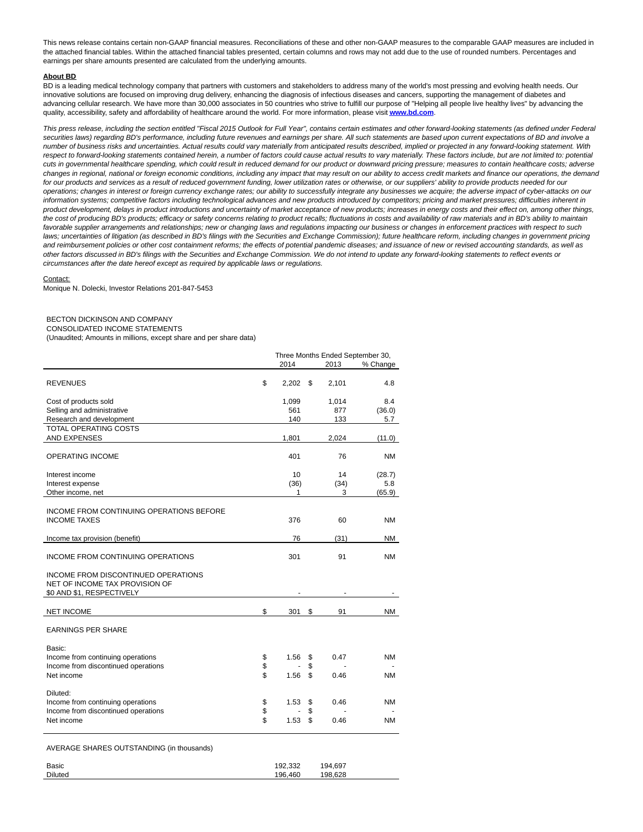This news release contains certain non-GAAP financial measures. Reconciliations of these and other non-GAAP measures to the comparable GAAP measures are included in the attached financial tables. Within the attached financial tables presented, certain columns and rows may not add due to the use of rounded numbers. Percentages and earnings per share amounts presented are calculated from the underlying amounts.

#### **About BD**

BD is a leading medical technology company that partners with customers and stakeholders to address many of the world's most pressing and evolving health needs. Our innovative solutions are focused on improving drug delivery, enhancing the diagnosis of infectious diseases and cancers, supporting the management of diabetes and advancing cellular research. We have more than 30,000 associates in 50 countries who strive to fulfill our purpose of "Helping all people live healthy lives" by advancing the quality, accessibility, safety and affordability of healthcare around the world. For more information, please visit **[www.bd.com](http://www.bd.com/)**.

This press release, including the section entitled "Fiscal 2015 Outlook for Full Year", contains certain estimates and other forward-looking statements (as defined under Federal securities laws) regarding BD's performance, including future revenues and earnings per share. All such statements are based upon current expectations of BD and involve a number of business risks and uncertainties. Actual results could vary materially from anticipated results described, implied or projected in any forward-looking statement. With respect to forward-looking statements contained herein, a number of factors could cause actual results to vary materially. These factors include, but are not limited to: potential cuts in governmental healthcare spending, which could result in reduced demand for our product or downward pricing pressure; measures to contain healthcare costs; adverse changes in regional, national or foreign economic conditions, including any impact that may result on our ability to access credit markets and finance our operations, the demand for our products and services as a result of reduced government funding, lower utilization rates or otherwise, or our suppliers' ability to provide products needed for our operations; changes in interest or foreign currency exchange rates; our ability to successfully integrate any businesses we acquire; the adverse impact of cyber-attacks on our information systems; competitive factors including technological advances and new products introduced by competitors; pricing and market pressures; difficulties inherent in product development, delays in product introductions and uncertainty of market acceptance of new products; increases in energy costs and their effect on, among other things, the cost of producing BD's products; efficacy or safety concerns relating to product recalls; fluctuations in costs and availability of raw materials and in BD's ability to maintain favorable supplier arrangements and relationships; new or changing laws and regulations impacting our business or changes in enforcement practices with respect to such laws; uncertainties of litigation (as described in BD's filings with the Securities and Exchange Commission); future healthcare reform, including changes in government pricing and reimbursement policies or other cost containment reforms; the effects of potential pandemic diseases; and issuance of new or revised accounting standards, as well as other factors discussed in BD's filings with the Securities and Exchange Commission. We do not intend to update any forward-looking statements to reflect events or circumstances after the date hereof except as required by applicable laws or regulations.

#### Contact:

Monique N. Dolecki, Investor Relations 201-847-5453

## BECTON DICKINSON AND COMPANY

CONSOLIDATED INCOME STATEMENTS

(Unaudited; Amounts in millions, except share and per share data)

|                                                                          | Three Months Ended September 30, |       |          |       |           |
|--------------------------------------------------------------------------|----------------------------------|-------|----------|-------|-----------|
|                                                                          |                                  | 2014  |          | 2013  | % Change  |
| <b>REVENUES</b>                                                          | \$                               | 2.202 | \$       | 2,101 | 4.8       |
| Cost of products sold                                                    |                                  | 1,099 |          | 1,014 | 8.4       |
| Selling and administrative                                               |                                  | 561   |          | 877   | (36.0)    |
| Research and development                                                 |                                  | 140   |          | 133   | 5.7       |
| <b>TOTAL OPERATING COSTS</b>                                             |                                  |       |          |       |           |
| <b>AND EXPENSES</b>                                                      |                                  | 1,801 |          | 2,024 | (11.0)    |
| <b>OPERATING INCOME</b>                                                  |                                  | 401   |          | 76    | NM        |
| Interest income                                                          |                                  | 10    |          | 14    | (28.7)    |
| Interest expense                                                         |                                  | (36)  |          | (34)  | 5.8       |
| Other income, net                                                        |                                  | 1     |          | 3     | (65.9)    |
|                                                                          |                                  |       |          |       |           |
| INCOME FROM CONTINUING OPERATIONS BEFORE                                 |                                  |       |          |       |           |
| <b>INCOME TAXES</b>                                                      |                                  | 376   |          | 60    | NΜ        |
| Income tax provision (benefit)                                           |                                  | 76    |          | (31)  | <b>NM</b> |
|                                                                          |                                  |       |          |       |           |
| INCOME FROM CONTINUING OPERATIONS                                        |                                  | 301   |          | 91    | <b>NM</b> |
|                                                                          |                                  |       |          |       |           |
| INCOME FROM DISCONTINUED OPERATIONS                                      |                                  |       |          |       |           |
| NET OF INCOME TAX PROVISION OF<br>\$0 AND \$1, RESPECTIVELY              |                                  |       |          |       |           |
|                                                                          |                                  |       |          |       |           |
| <b>NET INCOME</b>                                                        | \$                               | 301   | \$       | 91    | <b>NM</b> |
| <b>EARNINGS PER SHARE</b>                                                |                                  |       |          |       |           |
|                                                                          |                                  |       |          |       |           |
| Basic:                                                                   |                                  |       |          |       |           |
| Income from continuing operations<br>Income from discontinued operations | \$<br>\$                         | 1.56  | \$<br>\$ | 0.47  | ΝM        |
| Net income                                                               | \$                               | 1.56  | \$       | 0.46  | NΜ        |
|                                                                          |                                  |       |          |       |           |
| Diluted:                                                                 |                                  |       |          |       |           |
| Income from continuing operations                                        | \$                               | 1.53  | \$       | 0.46  | NΜ        |
| Income from discontinued operations                                      | \$                               |       | \$       |       |           |
| Net income                                                               | \$                               | 1.53  | \$       | 0.46  | NM        |
| AVERAGE SHARES OUTSTANDING (in thousands)                                |                                  |       |          |       |           |

Basic 192,332 194,697 Diluted 196,460 198,628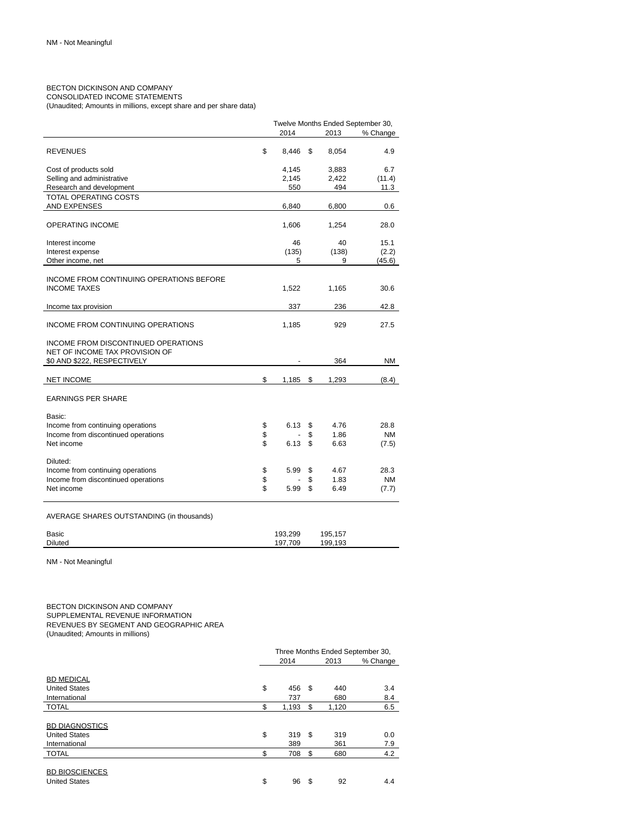## BECTON DICKINSON AND COMPANY CONSOLIDATED INCOME STATEMENTS

(Unaudited; Amounts in millions, except share and per share data)

|                                                                       |          |              |          |              | Twelve Months Ended September 30, |
|-----------------------------------------------------------------------|----------|--------------|----------|--------------|-----------------------------------|
|                                                                       |          | 2014         |          | 2013         | % Change                          |
| <b>REVENUES</b>                                                       | \$       | 8.446        | \$       | 8,054        | 4.9                               |
| Cost of products sold                                                 |          | 4,145        |          | 3,883        | 6.7                               |
| Selling and administrative                                            |          | 2,145<br>550 |          | 2,422<br>494 | (11.4)<br>11.3                    |
| Research and development<br><b>TOTAL OPERATING COSTS</b>              |          |              |          |              |                                   |
| AND EXPENSES                                                          |          | 6,840        |          | 6,800        | 0.6                               |
| <b>OPERATING INCOME</b>                                               |          | 1,606        |          | 1,254        | 28.0                              |
| Interest income                                                       |          | 46           |          | 40           | 15.1                              |
| Interest expense                                                      |          | (135)        |          | (138)        | (2.2)                             |
| Other income, net                                                     |          | 5            |          | 9            | (45.6)                            |
| INCOME FROM CONTINUING OPERATIONS BEFORE<br><b>INCOME TAXES</b>       |          | 1,522        |          | 1,165        | 30.6                              |
|                                                                       |          |              |          |              |                                   |
| Income tax provision                                                  |          | 337          |          | 236          | 42.8                              |
| INCOME FROM CONTINUING OPERATIONS                                     |          | 1,185        |          | 929          | 27.5                              |
| INCOME FROM DISCONTINUED OPERATIONS<br>NET OF INCOME TAX PROVISION OF |          |              |          |              |                                   |
| \$0 AND \$222, RESPECTIVELY                                           |          |              |          | 364          | ΝM                                |
| <b>NET INCOME</b>                                                     | \$       | 1,185        | \$       | 1,293        | (8.4)                             |
| <b>EARNINGS PER SHARE</b>                                             |          |              |          |              |                                   |
| Basic:<br>Income from continuing operations                           | \$       | 6.13         | \$       | 4.76         | 28.8                              |
| Income from discontinued operations                                   | \$       |              | \$       | 1.86         | NM                                |
| Net income                                                            | \$       | 6.13         | \$       | 6.63         | (7.5)                             |
| Diluted:                                                              |          |              |          |              |                                   |
| Income from continuing operations                                     | \$       | 5.99         | \$       | 4.67         | 28.3                              |
| Income from discontinued operations<br>Net income                     | \$<br>\$ | 5.99         | \$<br>\$ | 1.83<br>6.49 | NM<br>(7.7)                       |
|                                                                       |          |              |          |              |                                   |

AVERAGE SHARES OUTSTANDING (in thousands)

| <b>Basic</b>   | 193.299 | 195,157 |  |
|----------------|---------|---------|--|
| <b>Diluted</b> | 709     | 199.193 |  |

NM - Not Meaningful

BECTON DICKINSON AND COMPANY SUPPLEMENTAL REVENUE INFORMATION REVENUES BY SEGMENT AND GEOGRAPHIC AREA (Unaudited; Amounts in millions)

|                       | Three Months Ended September 30, |       |    |       |          |  |  |
|-----------------------|----------------------------------|-------|----|-------|----------|--|--|
|                       |                                  | 2014  |    | 2013  | % Change |  |  |
|                       |                                  |       |    |       |          |  |  |
| <b>BD MEDICAL</b>     |                                  |       |    |       |          |  |  |
| <b>United States</b>  | \$                               | 456   | \$ | 440   | 3.4      |  |  |
| International         |                                  | 737   |    | 680   | 8.4      |  |  |
| <b>TOTAL</b>          | \$                               | 1,193 | \$ | 1,120 | 6.5      |  |  |
|                       |                                  |       |    |       |          |  |  |
| <b>BD DIAGNOSTICS</b> |                                  |       |    |       |          |  |  |
| <b>United States</b>  | \$                               | 319   | \$ | 319   | 0.0      |  |  |
| International         |                                  | 389   |    | 361   | 7.9      |  |  |
| <b>TOTAL</b>          | \$                               | 708   | \$ | 680   | 4.2      |  |  |
|                       |                                  |       |    |       |          |  |  |
| <b>BD BIOSCIENCES</b> |                                  |       |    |       |          |  |  |
| <b>United States</b>  | \$                               | 96    | \$ | 92    | 4.4      |  |  |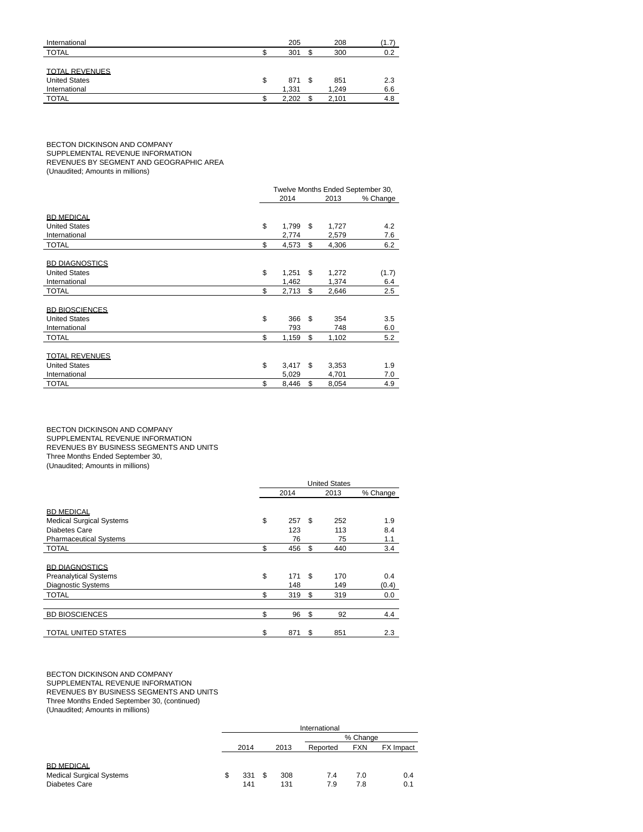| International         | 205         |   | 208   | (1.7) |
|-----------------------|-------------|---|-------|-------|
| <b>TOTAL</b>          | 301         |   | 300   | 0.2   |
|                       |             |   |       |       |
| <b>TOTAL REVENUES</b> |             |   |       |       |
| <b>United States</b>  | \$<br>871   | S | 851   | 2.3   |
| International         | 1.331       |   | 1.249 | 6.6   |
| <b>TOTAL</b>          | \$<br>2.202 |   | 2,101 | 4.8   |

BECTON DICKINSON AND COMPANY SUPPLEMENTAL REVENUE INFORMATION REVENUES BY SEGMENT AND GEOGRAPHIC AREA

(Unaudited; Amounts in millions)

| Twelve Months Ended September 30, |          |                |          |                |  |
|-----------------------------------|----------|----------------|----------|----------------|--|
|                                   | 2014     |                | 2013     | % Change       |  |
|                                   |          |                |          |                |  |
|                                   |          |                |          |                |  |
|                                   |          |                |          | 4.2            |  |
|                                   |          |                |          | 7.6            |  |
|                                   | 4,573    |                | 4,306    | 6.2            |  |
|                                   |          |                |          |                |  |
|                                   |          |                |          |                |  |
| \$                                | 1,251    | \$             | 1,272    | (1.7)          |  |
|                                   | 1,462    |                | 1,374    | 6.4            |  |
| \$                                | 2,713    | \$             | 2,646    | 2.5            |  |
|                                   |          |                |          |                |  |
|                                   |          |                |          |                |  |
| \$                                | 366      | \$             | 354      | 3.5            |  |
|                                   | 793      |                | 748      | 6.0            |  |
| \$                                | 1,159    | \$             | 1,102    | 5.2            |  |
|                                   |          |                |          |                |  |
|                                   |          |                |          |                |  |
| \$                                | 3,417    | \$             | 3,353    | 1.9            |  |
|                                   | 5,029    |                | 4,701    | 7.0            |  |
| \$                                | 8,446    | \$             | 8,054    | 4.9            |  |
|                                   | \$<br>\$ | 1,799<br>2,774 | \$<br>\$ | 1,727<br>2,579 |  |

BECTON DICKINSON AND COMPANY SUPPLEMENTAL REVENUE INFORMATION REVENUES BY BUSINESS SEGMENTS AND UNITS Three Months Ended September 30, (Unaudited; Amounts in millions)

|                                 | <b>United States</b> |     |    |      |          |  |
|---------------------------------|----------------------|-----|----|------|----------|--|
|                                 | 2014                 |     |    | 2013 | % Change |  |
|                                 |                      |     |    |      |          |  |
| <b>BD MEDICAL</b>               |                      |     |    |      |          |  |
| <b>Medical Surgical Systems</b> | \$                   | 257 | \$ | 252  | 1.9      |  |
| Diabetes Care                   |                      | 123 |    | 113  | 8.4      |  |
| <b>Pharmaceutical Systems</b>   |                      | 76  |    | 75   | 1.1      |  |
| <b>TOTAL</b>                    | \$                   | 456 | \$ | 440  | 3.4      |  |
|                                 |                      |     |    |      |          |  |
| <b>BD DIAGNOSTICS</b>           |                      |     |    |      |          |  |
| <b>Preanalytical Systems</b>    | \$                   | 171 | \$ | 170  | 0.4      |  |
| <b>Diagnostic Systems</b>       |                      | 148 |    | 149  | (0.4)    |  |
| <b>TOTAL</b>                    | \$                   | 319 | \$ | 319  | 0.0      |  |
|                                 |                      |     |    |      |          |  |
| <b>BD BIOSCIENCES</b>           | \$                   | 96  | \$ | 92   | 4.4      |  |
|                                 |                      |     |    |      |          |  |
| <b>TOTAL UNITED STATES</b>      | \$                   | 871 | \$ | 851  | 2.3      |  |

#### BECTON DICKINSON AND COMPANY SUPPLEMENTAL REVENUE INFORMATION REVENUES BY BUSINESS SEGMENTS AND UNITS Three Months Ended September 30, (continued) (Unaudited; Amounts in millions)

|                                 | International |      |     |      |          |            |           |  |  |  |
|---------------------------------|---------------|------|-----|------|----------|------------|-----------|--|--|--|
|                                 |               |      |     |      |          | % Change   |           |  |  |  |
|                                 |               | 2014 |     | 2013 | Reported | <b>FXN</b> | FX Impact |  |  |  |
|                                 |               |      |     |      |          |            |           |  |  |  |
| <b>BD MEDICAL</b>               |               |      |     |      |          |            |           |  |  |  |
| <b>Medical Surgical Systems</b> | \$            | 331  | \$. | 308  | 7.4      | 7.0        | 0.4       |  |  |  |
| Diabetes Care                   |               | 141  |     | 131  | 7.9      | 7.8        | 0.1       |  |  |  |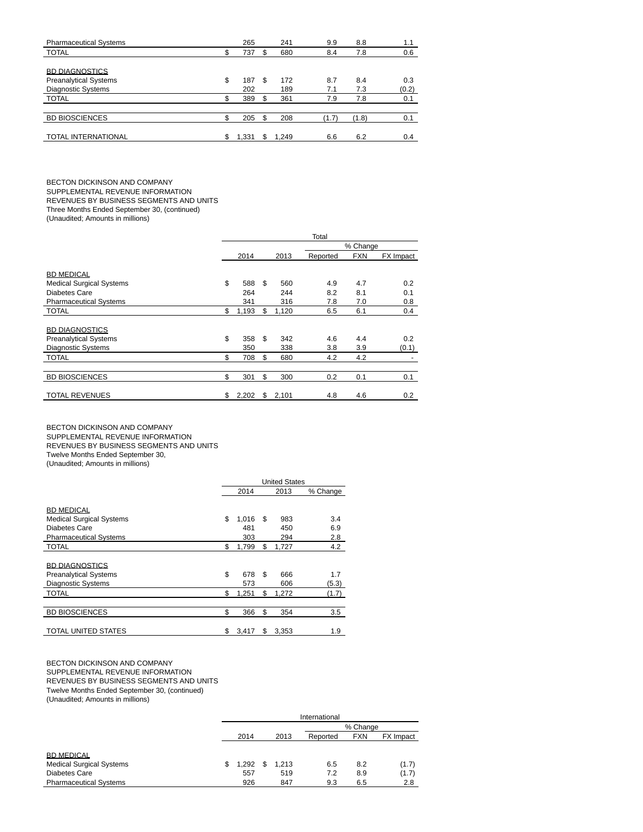|     | 265   |     | 241   | 9.9   | 8.8   | 1.1   |
|-----|-------|-----|-------|-------|-------|-------|
| \$  | 737   | \$  | 680   | 8.4   | 7.8   | 0.6   |
|     |       |     |       |       |       |       |
|     |       |     |       |       |       |       |
| \$  | 187   | \$. | 172   | 8.7   | 8.4   | 0.3   |
|     | 202   |     | 189   | 7.1   | 7.3   | (0.2) |
| \$  | 389   | \$. | 361   | 7.9   | 7.8   | 0.1   |
|     |       |     |       |       |       |       |
| \$  | 205   | \$  | 208   | (1.7) | (1.8) | 0.1   |
|     |       |     |       |       |       |       |
| \$. | 1.331 |     | 1.249 | 6.6   | 6.2   | 0.4   |
|     |       |     |       |       |       |       |

BECTON DICKINSON AND COMPANY SUPPLEMENTAL REVENUE INFORMATION

REVENUES BY BUSINESS SEGMENTS AND UNITS

Three Months Ended September 30, (continued)

(Unaudited; Amounts in millions)

|                                 | Total |       |     |       |          |            |           |  |  |  |
|---------------------------------|-------|-------|-----|-------|----------|------------|-----------|--|--|--|
|                                 |       |       |     |       | % Change |            |           |  |  |  |
|                                 |       | 2014  |     | 2013  | Reported | <b>FXN</b> | FX Impact |  |  |  |
| <b>BD MEDICAL</b>               |       |       |     |       |          |            |           |  |  |  |
| <b>Medical Surgical Systems</b> | \$    | 588   | \$. | 560   | 4.9      | 4.7        | 0.2       |  |  |  |
| Diabetes Care                   |       | 264   |     | 244   | 8.2      | 8.1        | 0.1       |  |  |  |
| <b>Pharmaceutical Systems</b>   |       | 341   |     | 316   | 7.8      | 7.0        | 0.8       |  |  |  |
| <b>TOTAL</b>                    | \$    | 1,193 | \$  | 1,120 | 6.5      | 6.1        | 0.4       |  |  |  |
| <b>BD DIAGNOSTICS</b>           |       |       |     |       |          |            |           |  |  |  |
| <b>Preanalytical Systems</b>    | \$    | 358   | \$  | 342   | 4.6      | 4.4        | 0.2       |  |  |  |
| <b>Diagnostic Systems</b>       |       | 350   |     | 338   | 3.8      | 3.9        | (0.1)     |  |  |  |
| <b>TOTAL</b>                    | \$    | 708   | \$  | 680   | 4.2      | 4.2        |           |  |  |  |
|                                 |       |       |     |       |          |            |           |  |  |  |
| <b>BD BIOSCIENCES</b>           | \$    | 301   | \$  | 300   | 0.2      | 0.1        | 0.1       |  |  |  |
| <b>TOTAL REVENUES</b>           | \$    | 2,202 | \$  | 2,101 | 4.8      | 4.6        | 0.2       |  |  |  |

BECTON DICKINSON AND COMPANY

SUPPLEMENTAL REVENUE INFORMATION

REVENUES BY BUSINESS SEGMENTS AND UNITS

Twelve Months Ended September 30,

(Unaudited; Amounts in millions)

|                                 | <b>United States</b> |       |    |       |          |  |  |
|---------------------------------|----------------------|-------|----|-------|----------|--|--|
|                                 |                      | 2014  |    | 2013  | % Change |  |  |
| <b>BD MEDICAL</b>               |                      |       |    |       |          |  |  |
| <b>Medical Surgical Systems</b> | \$                   | 1,016 | \$ | 983   | 3.4      |  |  |
| Diabetes Care                   |                      | 481   |    | 450   | 6.9      |  |  |
| <b>Pharmaceutical Systems</b>   |                      | 303   |    | 294   | 2.8      |  |  |
| <b>TOTAL</b>                    | \$                   | 1,799 | \$ | 1,727 | 4.2      |  |  |
|                                 |                      |       |    |       |          |  |  |
| <b>BD DIAGNOSTICS</b>           |                      |       |    |       |          |  |  |
| <b>Preanalytical Systems</b>    | \$                   | 678   | \$ | 666   | 1.7      |  |  |
| <b>Diagnostic Systems</b>       |                      | 573   |    | 606   | (5.3)    |  |  |
| <b>TOTAL</b>                    | \$                   | 1,251 | \$ | 1,272 | (1.7)    |  |  |
|                                 |                      |       |    |       |          |  |  |
| <b>BD BIOSCIENCES</b>           | \$                   | 366   | \$ | 354   | 3.5      |  |  |
|                                 |                      |       |    |       |          |  |  |
| TOTAL UNITED STATES             | \$                   | 3,417 | \$ | 3,353 | 1.9      |  |  |

#### BECTON DICKINSON AND COMPANY SUPPLEMENTAL REVENUE INFORMATION REVENUES BY BUSINESS SEGMENTS AND UNITS Twelve Months Ended September 30, (continued) (Unaudited; Amounts in millions)

|                                 | International |       |    |       |          |            |           |  |  |  |
|---------------------------------|---------------|-------|----|-------|----------|------------|-----------|--|--|--|
|                                 |               |       |    |       |          | % Change   |           |  |  |  |
|                                 |               | 2014  |    | 2013  | Reported | <b>FXN</b> | FX Impact |  |  |  |
|                                 |               |       |    |       |          |            |           |  |  |  |
| <b>BD MEDICAL</b>               |               |       |    |       |          |            |           |  |  |  |
| <b>Medical Surgical Systems</b> | \$            | 1,292 | \$ | 1.213 | 6.5      | 8.2        | (1.7)     |  |  |  |
| Diabetes Care                   |               | 557   |    | 519   | 7.2      | 8.9        | (1.7)     |  |  |  |
| <b>Pharmaceutical Systems</b>   |               | 926   |    | 847   | 9.3      | 6.5        | 2.8       |  |  |  |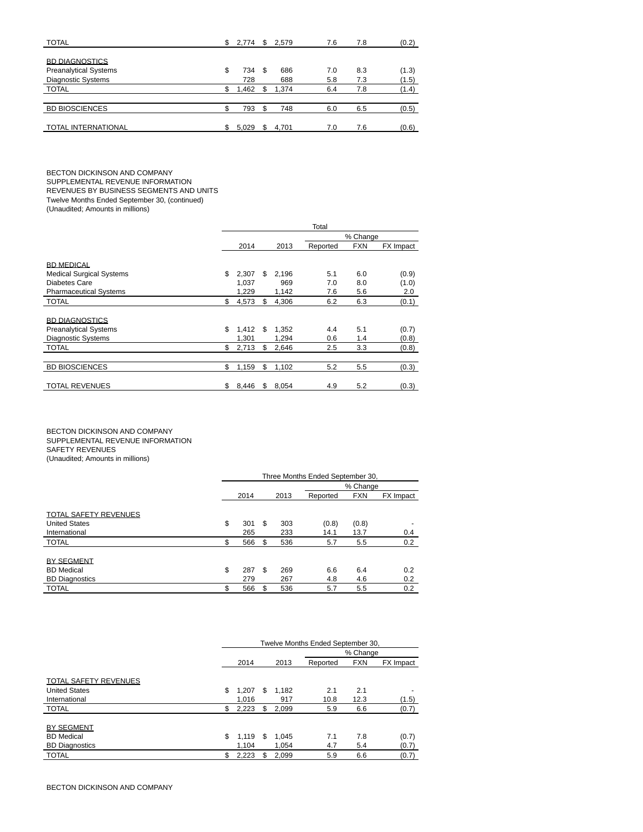| <b>TOTAL</b>                 | \$  | 2.774 | \$  | 2.579 | 7.6 | 7.8 | (0.2) |
|------------------------------|-----|-------|-----|-------|-----|-----|-------|
|                              |     |       |     |       |     |     |       |
| <b>BD DIAGNOSTICS</b>        |     |       |     |       |     |     |       |
| <b>Preanalytical Systems</b> | \$  | 734   | \$. | 686   | 7.0 | 8.3 | (1.3) |
| Diagnostic Systems           |     | 728   |     | 688   | 5.8 | 7.3 | (1.5) |
| <b>TOTAL</b>                 | S.  | 1,462 |     | 1.374 | 6.4 | 7.8 | (1.4) |
|                              |     |       |     |       |     |     |       |
| <b>BD BIOSCIENCES</b>        | c   | 793   | \$  | 748   | 6.0 | 6.5 | (0.5) |
|                              |     |       |     |       |     |     |       |
| <b>TOTAL INTERNATIONAL</b>   | \$. | 5.029 | \$. | 4.701 | 7.0 | 7.6 | (0.6) |

BECTON DICKINSON AND COMPANY SUPPLEMENTAL REVENUE INFORMATION REVENUES BY BUSINESS SEGMENTS AND UNITS Twelve Months Ended September 30, (continued)

(Unaudited; Amounts in millions)

|                                                                                    |                      |    |                | Total      |            |                |
|------------------------------------------------------------------------------------|----------------------|----|----------------|------------|------------|----------------|
|                                                                                    |                      |    |                |            | % Change   |                |
|                                                                                    | 2014                 |    | 2013           | Reported   | <b>FXN</b> | FX Impact      |
| <b>BD MEDICAL</b><br><b>Medical Surgical Systems</b><br>Diabetes Care              | \$<br>2,307<br>1.037 | \$ | 2,196<br>969   | 5.1<br>7.0 | 6.0<br>8.0 | (0.9)<br>(1.0) |
| <b>Pharmaceutical Systems</b>                                                      | 1,229                |    | 1,142          | 7.6        | 5.6        | 2.0            |
| <b>TOTAL</b>                                                                       | \$<br>4,573          | \$ | 4,306          | 6.2        | 6.3        | (0.1)          |
| <b>BD DIAGNOSTICS</b><br><b>Preanalytical Systems</b><br><b>Diagnostic Systems</b> | \$<br>1,412<br>1.301 | \$ | 1,352<br>1,294 | 4.4<br>0.6 | 5.1<br>1.4 | (0.7)<br>(0.8) |
| <b>TOTAL</b>                                                                       | \$<br>2,713          | \$ | 2,646          | 2.5        | 3.3        | (0.8)          |
|                                                                                    |                      |    |                |            |            |                |
| <b>BD BIOSCIENCES</b>                                                              | \$<br>1,159          | \$ | 1,102          | 5.2        | 5.5        | (0.3)          |
| <b>TOTAL REVENUES</b>                                                              | \$<br>8,446          | S  | 8,054          | 4.9        | 5.2        | (0.3)          |

BECTON DICKINSON AND COMPANY SUPPLEMENTAL REVENUE INFORMATION SAFETY REVENUES (Unaudited; Amounts in millions)

|                              | Three Months Ended September 30, |      |    |      |          |            |           |  |  |  |  |
|------------------------------|----------------------------------|------|----|------|----------|------------|-----------|--|--|--|--|
|                              |                                  |      |    |      |          | % Change   |           |  |  |  |  |
|                              |                                  | 2014 |    | 2013 | Reported | <b>FXN</b> | FX Impact |  |  |  |  |
| <b>TOTAL SAFETY REVENUES</b> |                                  |      |    |      |          |            |           |  |  |  |  |
| <b>United States</b>         | \$                               | 301  | S  | 303  | (0.8)    | (0.8)      |           |  |  |  |  |
| International                |                                  | 265  |    | 233  | 14.1     | 13.7       | 0.4       |  |  |  |  |
| <b>TOTAL</b>                 | \$                               | 566  | \$ | 536  | 5.7      | 5.5        | 0.2       |  |  |  |  |
| <b>BY SEGMENT</b>            |                                  |      |    |      |          |            |           |  |  |  |  |
| <b>BD</b> Medical            | \$                               | 287  | S  | 269  | 6.6      | 6.4        | 0.2       |  |  |  |  |
| <b>BD Diagnostics</b>        |                                  | 279  |    | 267  | 4.8      | 4.6        | 0.2       |  |  |  |  |
| <b>TOTAL</b>                 | \$                               | 566  | \$ | 536  | 5.7      | 5.5        | 0.2       |  |  |  |  |

|                              | Twelve Months Ended September 30, |    |       |          |            |           |  |  |  |  |  |
|------------------------------|-----------------------------------|----|-------|----------|------------|-----------|--|--|--|--|--|
|                              |                                   |    |       |          | % Change   |           |  |  |  |  |  |
|                              | 2014                              |    | 2013  | Reported | <b>FXN</b> | FX Impact |  |  |  |  |  |
| <b>TOTAL SAFETY REVENUES</b> |                                   |    |       |          |            |           |  |  |  |  |  |
| <b>United States</b>         | \$<br>1,207                       | \$ | 1.182 | 2.1      | 2.1        |           |  |  |  |  |  |
| International                | 1.016                             |    | 917   | 10.8     | 12.3       | (1.5)     |  |  |  |  |  |
| <b>TOTAL</b>                 | \$<br>2,223                       | S  | 2.099 | 5.9      | 6.6        | (0.7)     |  |  |  |  |  |
|                              |                                   |    |       |          |            |           |  |  |  |  |  |
| <b>BY SEGMENT</b>            |                                   |    |       |          |            |           |  |  |  |  |  |
| <b>BD</b> Medical            | \$<br>1,119                       | \$ | 1.045 | 7.1      | 7.8        | (0.7)     |  |  |  |  |  |
| <b>BD Diagnostics</b>        | 1.104                             |    | 1.054 | 4.7      | 5.4        | (0.7)     |  |  |  |  |  |
| <b>TOTAL</b>                 | \$<br>2,223                       | \$ | 2.099 | 5.9      | 6.6        | (0.7)     |  |  |  |  |  |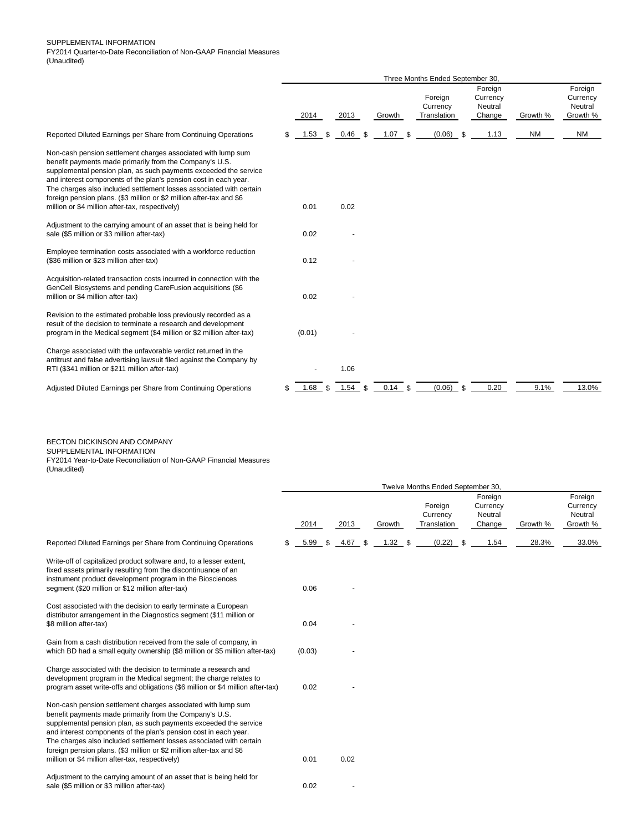|                                                                                                                                                                                                                                                                                                                                                                                                                                                                   | Three Months Ended September 30, |        |     |      |     |        |     |                                    |      |                                          |           |                                            |
|-------------------------------------------------------------------------------------------------------------------------------------------------------------------------------------------------------------------------------------------------------------------------------------------------------------------------------------------------------------------------------------------------------------------------------------------------------------------|----------------------------------|--------|-----|------|-----|--------|-----|------------------------------------|------|------------------------------------------|-----------|--------------------------------------------|
|                                                                                                                                                                                                                                                                                                                                                                                                                                                                   |                                  | 2014   |     | 2013 |     | Growth |     | Foreign<br>Currency<br>Translation |      | Foreign<br>Currency<br>Neutral<br>Change | Growth %  | Foreign<br>Currency<br>Neutral<br>Growth % |
| Reported Diluted Earnings per Share from Continuing Operations                                                                                                                                                                                                                                                                                                                                                                                                    | \$                               | 1.53   | \$  | 0.46 | S.  | 1.07   | \$  | (0.06)                             | - \$ | 1.13                                     | <b>NM</b> | <b>NM</b>                                  |
| Non-cash pension settlement charges associated with lump sum<br>benefit payments made primarily from the Company's U.S.<br>supplemental pension plan, as such payments exceeded the service<br>and interest components of the plan's pension cost in each year.<br>The charges also included settlement losses associated with certain<br>foreign pension plans. (\$3 million or \$2 million after-tax and \$6<br>million or \$4 million after-tax, respectively) |                                  | 0.01   |     | 0.02 |     |        |     |                                    |      |                                          |           |                                            |
| Adjustment to the carrying amount of an asset that is being held for<br>sale (\$5 million or \$3 million after-tax)                                                                                                                                                                                                                                                                                                                                               |                                  | 0.02   |     |      |     |        |     |                                    |      |                                          |           |                                            |
| Employee termination costs associated with a workforce reduction<br>(\$36 million or \$23 million after-tax)                                                                                                                                                                                                                                                                                                                                                      |                                  | 0.12   |     |      |     |        |     |                                    |      |                                          |           |                                            |
| Acquisition-related transaction costs incurred in connection with the<br>GenCell Biosystems and pending CareFusion acquisitions (\$6<br>million or \$4 million after-tax)                                                                                                                                                                                                                                                                                         |                                  | 0.02   |     |      |     |        |     |                                    |      |                                          |           |                                            |
| Revision to the estimated probable loss previously recorded as a<br>result of the decision to terminate a research and development<br>program in the Medical segment (\$4 million or \$2 million after-tax)                                                                                                                                                                                                                                                       |                                  | (0.01) |     |      |     |        |     |                                    |      |                                          |           |                                            |
| Charge associated with the unfavorable verdict returned in the<br>antitrust and false advertising lawsuit filed against the Company by<br>RTI (\$341 million or \$211 million after-tax)                                                                                                                                                                                                                                                                          |                                  |        |     | 1.06 |     |        |     |                                    |      |                                          |           |                                            |
| Adjusted Diluted Earnings per Share from Continuing Operations                                                                                                                                                                                                                                                                                                                                                                                                    | \$                               | 1.68   | \$. | 1.54 | \$. | 0.14   | \$. | (0.06)                             | -S   | 0.20                                     | 9.1%      | 13.0%                                      |

BECTON DICKINSON AND COMPANY SUPPLEMENTAL INFORMATION FY2014 Year-to-Date Reconciliation of Non-GAAP Financial Measures (Unaudited)

|                                                                                                                                                                                                                                                                                                                                                                                                                                                                   | Twelve Months Ended September 30, |        |    |         |  |           |  |                                    |  |                                          |          |                                            |
|-------------------------------------------------------------------------------------------------------------------------------------------------------------------------------------------------------------------------------------------------------------------------------------------------------------------------------------------------------------------------------------------------------------------------------------------------------------------|-----------------------------------|--------|----|---------|--|-----------|--|------------------------------------|--|------------------------------------------|----------|--------------------------------------------|
|                                                                                                                                                                                                                                                                                                                                                                                                                                                                   |                                   | 2014   |    | 2013    |  | Growth    |  | Foreign<br>Currency<br>Translation |  | Foreign<br>Currency<br>Neutral<br>Change | Growth % | Foreign<br>Currency<br>Neutral<br>Growth % |
| Reported Diluted Earnings per Share from Continuing Operations                                                                                                                                                                                                                                                                                                                                                                                                    | \$.                               | 5.99   | \$ | 4.67 \$ |  | $1.32$ \$ |  | $(0.22)$ \$                        |  | 1.54                                     | 28.3%    | 33.0%                                      |
| Write-off of capitalized product software and, to a lesser extent,<br>fixed assets primarily resulting from the discontinuance of an<br>instrument product development program in the Biosciences<br>segment (\$20 million or \$12 million after-tax)                                                                                                                                                                                                             |                                   | 0.06   |    |         |  |           |  |                                    |  |                                          |          |                                            |
| Cost associated with the decision to early terminate a European<br>distributor arrangement in the Diagnostics segment (\$11 million or<br>\$8 million after-tax)                                                                                                                                                                                                                                                                                                  |                                   | 0.04   |    |         |  |           |  |                                    |  |                                          |          |                                            |
| Gain from a cash distribution received from the sale of company, in<br>which BD had a small equity ownership (\$8 million or \$5 million after-tax)                                                                                                                                                                                                                                                                                                               |                                   | (0.03) |    |         |  |           |  |                                    |  |                                          |          |                                            |
| Charge associated with the decision to terminate a research and<br>development program in the Medical segment; the charge relates to<br>program asset write-offs and obligations (\$6 million or \$4 million after-tax)                                                                                                                                                                                                                                           |                                   | 0.02   |    |         |  |           |  |                                    |  |                                          |          |                                            |
| Non-cash pension settlement charges associated with lump sum<br>benefit payments made primarily from the Company's U.S.<br>supplemental pension plan, as such payments exceeded the service<br>and interest components of the plan's pension cost in each year.<br>The charges also included settlement losses associated with certain<br>foreign pension plans. (\$3 million or \$2 million after-tax and \$6<br>million or \$4 million after-tax, respectively) |                                   | 0.01   |    | 0.02    |  |           |  |                                    |  |                                          |          |                                            |
| Adjustment to the carrying amount of an asset that is being held for<br>sale (\$5 million or \$3 million after-tax)                                                                                                                                                                                                                                                                                                                                               |                                   | 0.02   |    |         |  |           |  |                                    |  |                                          |          |                                            |